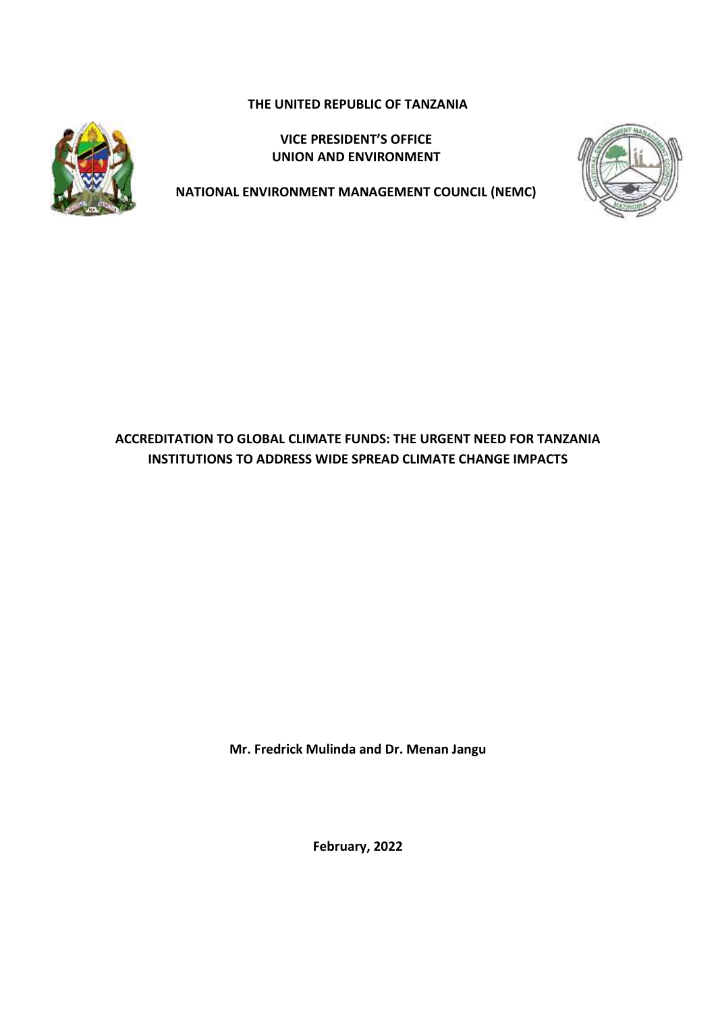**THE UNITED REPUBLIC OF TANZANIA**



**VICE PRESIDENT'S OFFICE UNION AND ENVIRONMENT**



**NATIONAL ENVIRONMENT MANAGEMENT COUNCIL (NEMC)**

## **ACCREDITATION TO GLOBAL CLIMATE FUNDS: THE URGENT NEED FOR TANZANIA INSTITUTIONS TO ADDRESS WIDE SPREAD CLIMATE CHANGE IMPACTS**

**Mr. Fredrick Mulinda and Dr. Menan Jangu**

**February, 2022**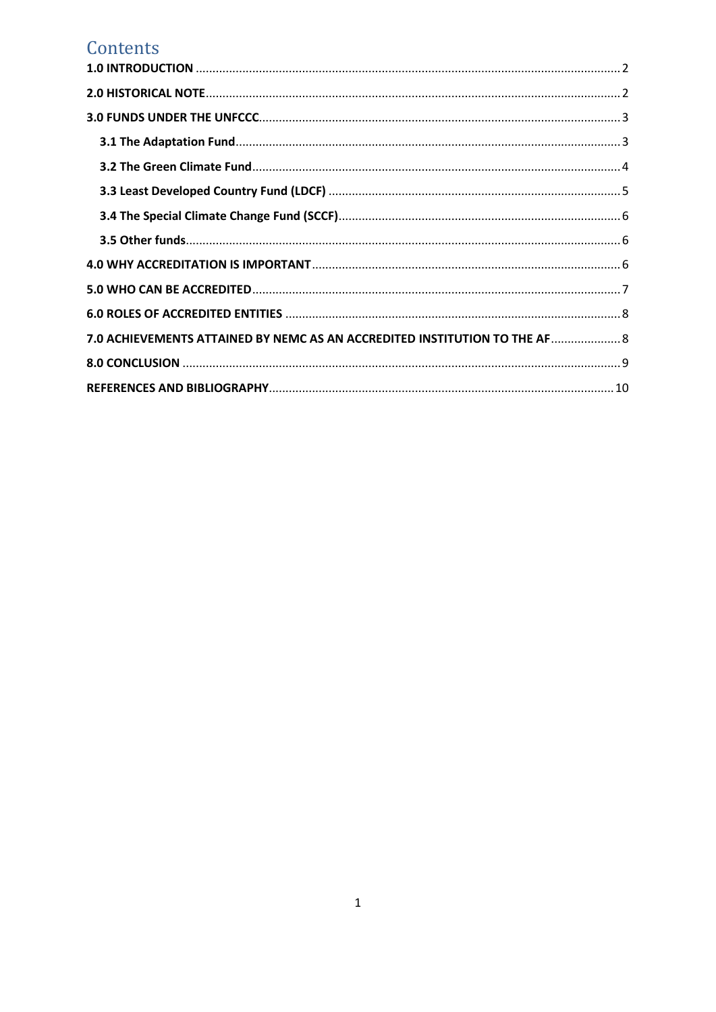# Contents

| 7.0 ACHIEVEMENTS ATTAINED BY NEMC AS AN ACCREDITED INSTITUTION TO THE AF  8 |  |
|-----------------------------------------------------------------------------|--|
|                                                                             |  |
|                                                                             |  |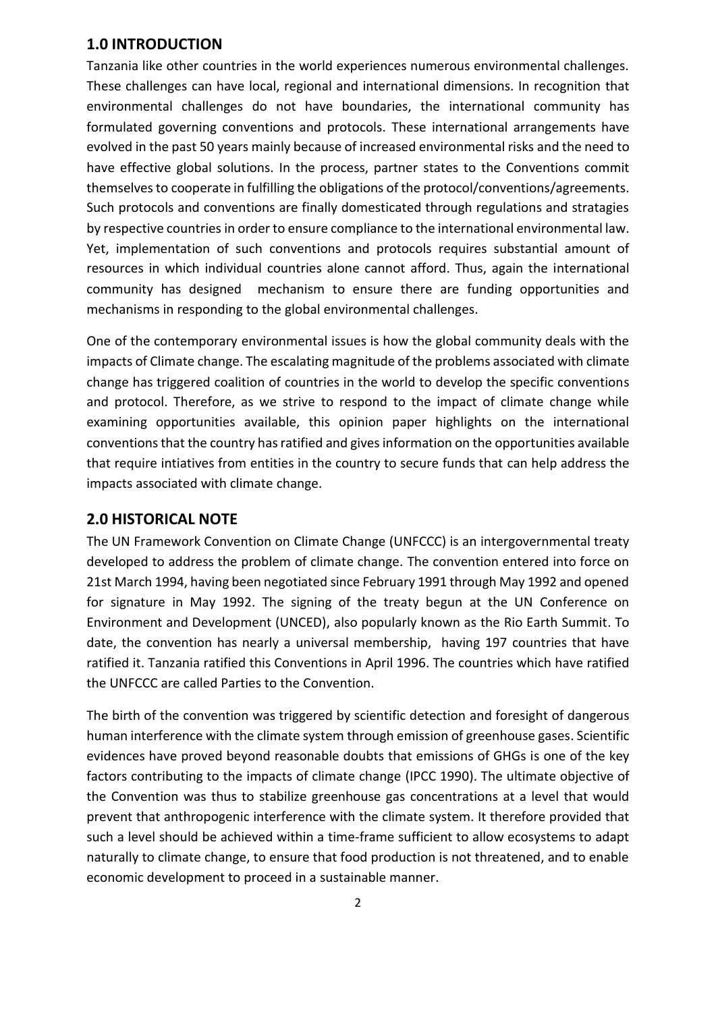### <span id="page-2-0"></span>**1.0 INTRODUCTION**

Tanzania like other countries in the world experiences numerous environmental challenges. These challenges can have local, regional and international dimensions. In recognition that environmental challenges do not have boundaries, the international community has formulated governing conventions and protocols. These international arrangements have evolved in the past 50 years mainly because of increased environmental risks and the need to have effective global solutions. In the process, partner states to the Conventions commit themselves to cooperate in fulfilling the obligations of the protocol/conventions/agreements. Such protocols and conventions are finally domesticated through regulations and stratagies by respective countries in order to ensure compliance to the international environmental law. Yet, implementation of such conventions and protocols requires substantial amount of resources in which individual countries alone cannot afford. Thus, again the international community has designed mechanism to ensure there are funding opportunities and mechanisms in responding to the global environmental challenges.

One of the contemporary environmental issues is how the global community deals with the impacts of Climate change. The escalating magnitude of the problems associated with climate change has triggered coalition of countries in the world to develop the specific conventions and protocol. Therefore, as we strive to respond to the impact of climate change while examining opportunities available, this opinion paper highlights on the international conventions that the country has ratified and gives information on the opportunities available that require intiatives from entities in the country to secure funds that can help address the impacts associated with climate change.

### <span id="page-2-1"></span>**2.0 HISTORICAL NOTE**

The UN Framework Convention on Climate Change (UNFCCC) is an intergovernmental treaty developed to address the problem of climate change. The convention entered into force on 21st March 1994, having been negotiated since February 1991 through May 1992 and opened for signature in May 1992. The signing of the treaty begun at the UN Conference on Environment and Development (UNCED), also popularly known as the Rio Earth Summit. To date, the convention has nearly a universal membership, having 197 countries that have ratified it. Tanzania ratified this Conventions in April 1996. The countries which have ratified the UNFCCC are called Parties to the Convention.

The birth of the convention was triggered by scientific detection and foresight of dangerous human interference with the climate system through emission of greenhouse gases. Scientific evidences have proved beyond reasonable doubts that emissions of GHGs is one of the key factors contributing to the impacts of climate change (IPCC 1990). The ultimate objective of the Convention was thus to stabilize greenhouse gas concentrations at a level that would prevent that anthropogenic interference with the climate system. It therefore provided that such a level should be achieved within a time-frame sufficient to allow ecosystems to adapt naturally to climate change, to ensure that food production is not threatened, and to enable economic development to proceed in a sustainable manner.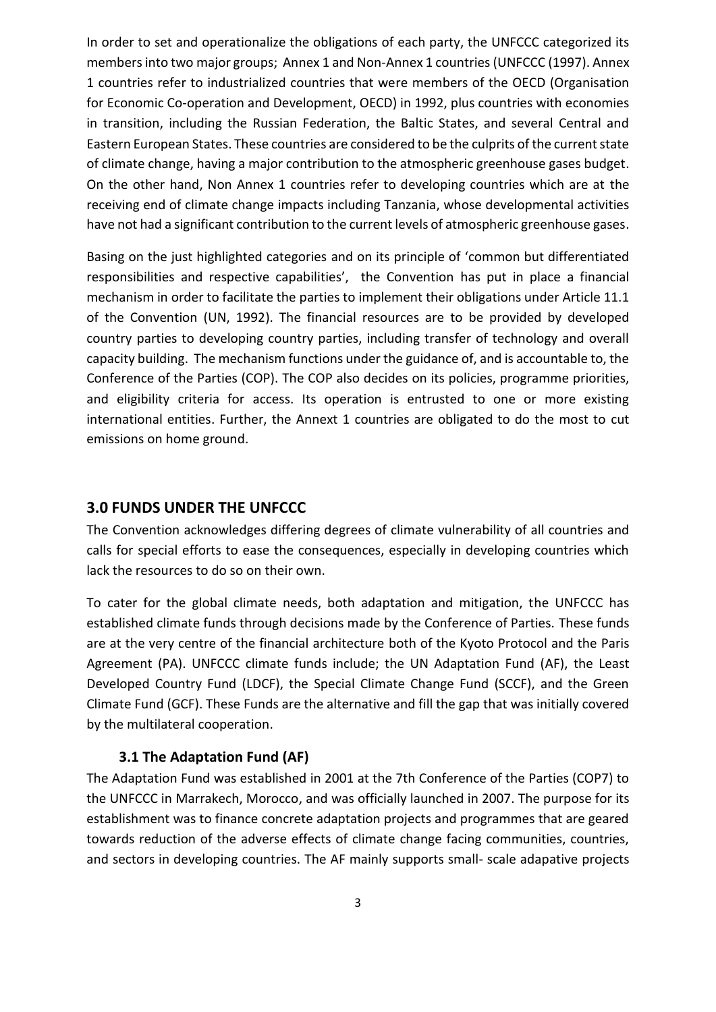In order to set and operationalize the obligations of each party, the UNFCCC categorized its members into two major groups; Annex 1 and Non-Annex 1 countries(UNFCCC (1997). Annex 1 countries refer to industrialized countries that were members of the OECD (Organisation for Economic Co-operation and Development, OECD) in 1992, plus countries with economies in transition, including the Russian Federation, the Baltic States, and several Central and Eastern European States. These countries are considered to be the culprits of the current state of climate change, having a major contribution to the atmospheric greenhouse gases budget. On the other hand, Non Annex 1 countries refer to developing countries which are at the receiving end of climate change impacts including Tanzania, whose developmental activities have not had a significant contribution to the current levels of atmospheric greenhouse gases.

Basing on the just highlighted categories and on its principle of 'common but differentiated responsibilities and respective capabilities', the Convention has put in place a financial mechanism in order to facilitate the parties to implement their obligations under Article 11.1 of the Convention (UN, 1992). The financial resources are to be provided by developed country parties to developing country parties, including transfer of technology and overall capacity building. The mechanism functions under the guidance of, and is accountable to, the Conference of the Parties (COP). The COP also decides on its policies, programme priorities, and eligibility criteria for access. Its operation is entrusted to one or more existing international entities. Further, the Annext 1 countries are obligated to do the most to cut emissions on home ground.

### <span id="page-3-0"></span>**3.0 FUNDS UNDER THE UNFCCC**

The Convention acknowledges differing degrees of climate vulnerability of all countries and calls for special efforts to ease the consequences, especially in developing countries which lack the resources to do so on their own.

To cater for the global climate needs, both adaptation and mitigation, the UNFCCC has established climate funds through decisions made by the Conference of Parties. These funds are at the very centre of the financial architecture both of the Kyoto Protocol and the Paris Agreement (PA). UNFCCC climate funds include; the UN Adaptation Fund (AF), the Least Developed Country Fund (LDCF), the Special Climate Change Fund (SCCF), and the Green Climate Fund (GCF). These Funds are the alternative and fill the gap that was initially covered by the multilateral cooperation.

#### **3.1 The Adaptation Fund (AF)**

<span id="page-3-1"></span>The Adaptation Fund was established in 2001 at the 7th Conference of the Parties (COP7) to the UNFCCC in Marrakech, Morocco, and was officially launched in 2007. The purpose for its establishment was to finance concrete adaptation projects and programmes that are geared towards reduction of the adverse effects of climate change facing communities, countries, and sectors in developing countries. The AF mainly supports small- scale adapative projects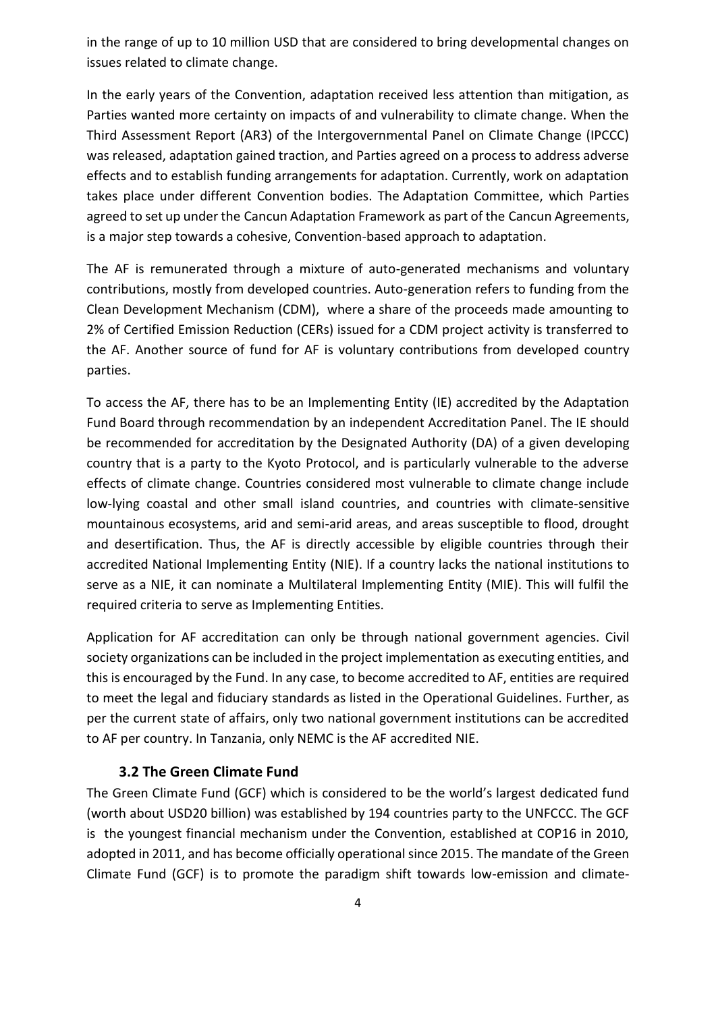in the range of up to 10 million USD that are considered to bring developmental changes on issues related to climate change.

In the early years of the Convention, adaptation received less attention than mitigation, as Parties wanted more certainty on impacts of and vulnerability to climate change. When the Third Assessment Report (AR3) of the Intergovernmental Panel on Climate Change (IPCCC) was released, adaptation gained traction, and Parties agreed on a process to address adverse effects and to establish funding arrangements for adaptation. Currently, work on adaptation takes place under different Convention bodies. The Adaptation Committee, which Parties agreed to set up under the Cancun Adaptation Framework as part of the Cancun Agreements, is a major step towards a cohesive, Convention-based approach to adaptation.

The AF is remunerated through a mixture of auto-generated mechanisms and voluntary contributions, mostly from developed countries. Auto-generation refers to funding from the Clean Development Mechanism (CDM), where a share of the proceeds made amounting to 2% of Certified Emission Reduction (CERs) issued for a CDM project activity is transferred to the AF. Another source of fund for AF is voluntary contributions from developed country parties.

To access the AF, there has to be an Implementing Entity (IE) accredited by the Adaptation Fund Board through recommendation by an independent Accreditation Panel. The IE should be recommended for accreditation by the Designated Authority (DA) of a given developing country that is a party to the Kyoto Protocol, and is particularly vulnerable to the adverse effects of climate change. Countries considered most vulnerable to climate change include low-lying coastal and other small island countries, and countries with climate-sensitive mountainous ecosystems, arid and semi-arid areas, and areas susceptible to flood, drought and desertification. Thus, the AF is directly accessible by eligible countries through their accredited National Implementing Entity (NIE). If a country lacks the national institutions to serve as a NIE, it can nominate a Multilateral Implementing Entity (MIE). This will fulfil the required criteria to serve as Implementing Entities.

Application for AF accreditation can only be through national government agencies. Civil society organizations can be included in the project implementation as executing entities, and this is encouraged by the Fund. In any case, to become accredited to AF, entities are required to meet the legal and fiduciary standards as listed in the Operational Guidelines. Further, as per the current state of affairs, only two national government institutions can be accredited to AF per country. In Tanzania, only NEMC is the AF accredited NIE.

#### **3.2 The Green Climate Fund**

<span id="page-4-0"></span>The Green Climate Fund (GCF) which is considered to be the world's largest dedicated fund (worth about USD20 billion) was established by 194 countries party to the UNFCCC. The GCF is the youngest financial mechanism under the Convention, established at COP16 in 2010, adopted in 2011, and has become officially operational since 2015. The mandate of the Green Climate Fund (GCF) is to promote the paradigm shift towards low-emission and climate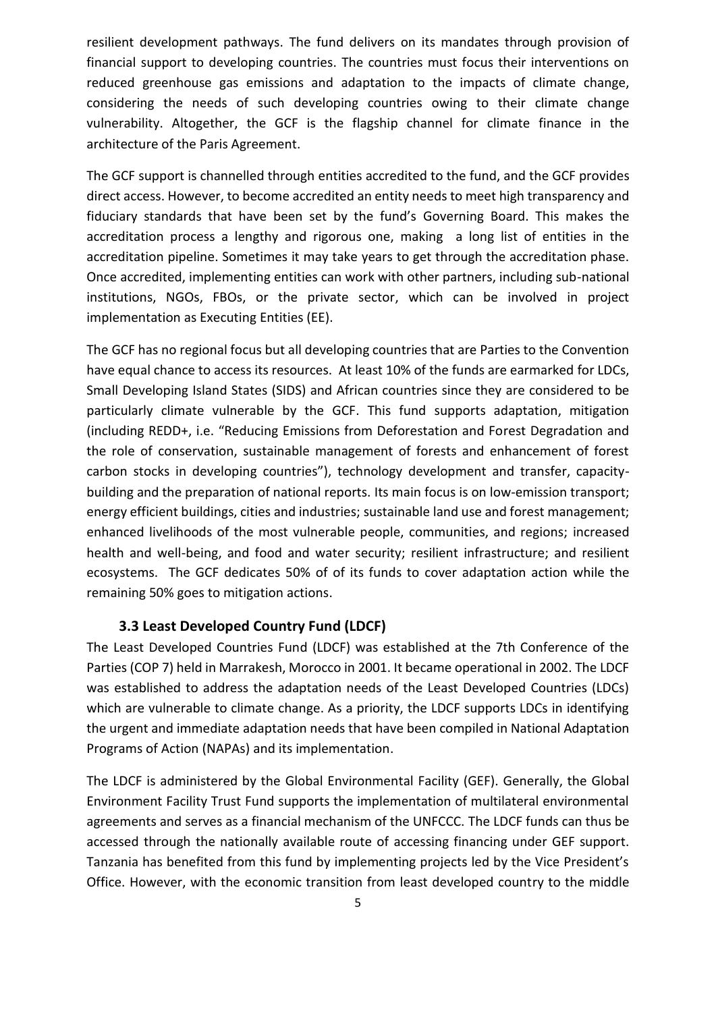resilient development pathways. The fund delivers on its mandates through provision of financial support to developing countries. The countries must focus their interventions on reduced greenhouse gas emissions and adaptation to the impacts of climate change, considering the needs of such developing countries owing to their climate change vulnerability. Altogether, the GCF is the flagship channel for climate finance in the architecture of the Paris Agreement.

The GCF support is channelled through entities accredited to the fund, and the GCF provides direct access. However, to become accredited an entity needs to meet high transparency and fiduciary standards that have been set by the fund's Governing Board. This makes the accreditation process a lengthy and rigorous one, making a long list of entities in the accreditation pipeline. Sometimes it may take years to get through the accreditation phase. Once accredited, implementing entities can work with other partners, including sub-national institutions, NGOs, FBOs, or the private sector, which can be involved in project implementation as Executing Entities (EE).

The GCF has no regional focus but all developing countries that are Parties to the Convention have equal chance to access its resources. At least 10% of the funds are earmarked for LDCs, Small Developing Island States (SIDS) and African countries since they are considered to be particularly climate vulnerable by the GCF. This fund supports adaptation, mitigation (including REDD+, i.e. "Reducing Emissions from Deforestation and Forest Degradation and the role of conservation, sustainable management of forests and enhancement of forest carbon stocks in developing countries"), technology development and transfer, capacitybuilding and the preparation of national reports. Its main focus is on low-emission transport; energy efficient buildings, cities and industries; sustainable land use and forest management; enhanced livelihoods of the most vulnerable people, communities, and regions; increased health and well-being, and food and water security; resilient infrastructure; and resilient ecosystems. The GCF dedicates 50% of of its funds to cover adaptation action while the remaining 50% goes to mitigation actions.

#### **3.3 Least Developed Country Fund (LDCF)**

<span id="page-5-0"></span>The Least Developed Countries Fund (LDCF) was established at the 7th Conference of the Parties (COP 7) held in Marrakesh, Morocco in 2001. It became operational in 2002. The LDCF was established to address the adaptation needs of the Least Developed Countries (LDCs) which are vulnerable to climate change. As a priority, the LDCF supports LDCs in identifying the urgent and immediate adaptation needs that have been compiled in National Adaptation Programs of Action (NAPAs) and its implementation.

The LDCF is administered by the Global Environmental Facility (GEF). Generally, the Global Environment Facility Trust Fund supports the implementation of multilateral environmental agreements and serves as a financial mechanism of the UNFCCC. The LDCF funds can thus be accessed through the nationally available route of accessing financing under GEF support. Tanzania has benefited from this fund by implementing projects led by the Vice President's Office. However, with the economic transition from least developed country to the middle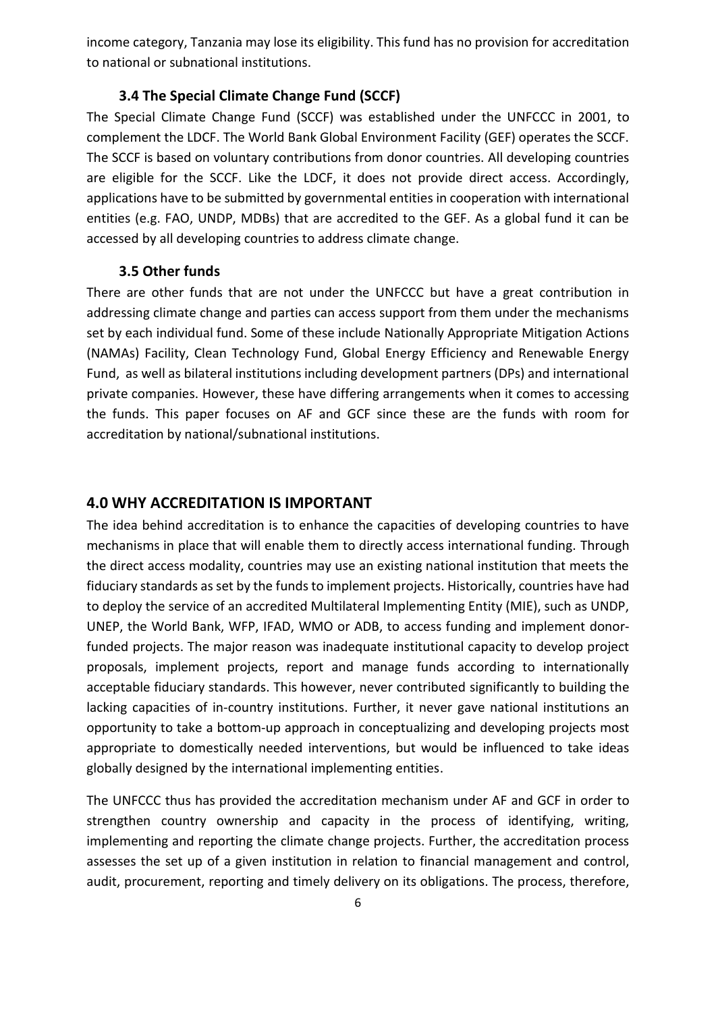income category, Tanzania may lose its eligibility. This fund has no provision for accreditation to national or subnational institutions.

### **3.4 The Special Climate Change Fund (SCCF)**

<span id="page-6-0"></span>The Special Climate Change Fund (SCCF) was established under the UNFCCC in 2001, to complement the LDCF. The World Bank Global Environment Facility (GEF) operates the SCCF. The SCCF is based on voluntary contributions from donor countries. All developing countries are eligible for the SCCF. Like the LDCF, it does not provide direct access. Accordingly, applications have to be submitted by governmental entities in cooperation with international entities (e.g. FAO, UNDP, MDBs) that are accredited to the GEF. As a global fund it can be accessed by all developing countries to address climate change.

#### **3.5 Other funds**

<span id="page-6-1"></span>There are other funds that are not under the UNFCCC but have a great contribution in addressing climate change and parties can access support from them under the mechanisms set by each individual fund. Some of these include Nationally Appropriate Mitigation Actions (NAMAs) Facility, Clean Technology Fund, Global Energy Efficiency and Renewable Energy Fund, as well as bilateral institutions including development partners (DPs) and international private companies. However, these have differing arrangements when it comes to accessing the funds. This paper focuses on AF and GCF since these are the funds with room for accreditation by national/subnational institutions.

#### <span id="page-6-2"></span>**4.0 WHY ACCREDITATION IS IMPORTANT**

The idea behind accreditation is to enhance the capacities of developing countries to have mechanisms in place that will enable them to directly access international funding. Through the direct access modality, countries may use an existing national institution that meets the fiduciary standards as set by the funds to implement projects. Historically, countries have had to deploy the service of an accredited Multilateral Implementing Entity (MIE), such as UNDP, UNEP, the World Bank, WFP, IFAD, WMO or ADB, to access funding and implement donorfunded projects. The major reason was inadequate institutional capacity to develop project proposals, implement projects, report and manage funds according to internationally acceptable fiduciary standards. This however, never contributed significantly to building the lacking capacities of in-country institutions. Further, it never gave national institutions an opportunity to take a bottom-up approach in conceptualizing and developing projects most appropriate to domestically needed interventions, but would be influenced to take ideas globally designed by the international implementing entities.

The UNFCCC thus has provided the accreditation mechanism under AF and GCF in order to strengthen country ownership and capacity in the process of identifying, writing, implementing and reporting the climate change projects. Further, the accreditation process assesses the set up of a given institution in relation to financial management and control, audit, procurement, reporting and timely delivery on its obligations. The process, therefore,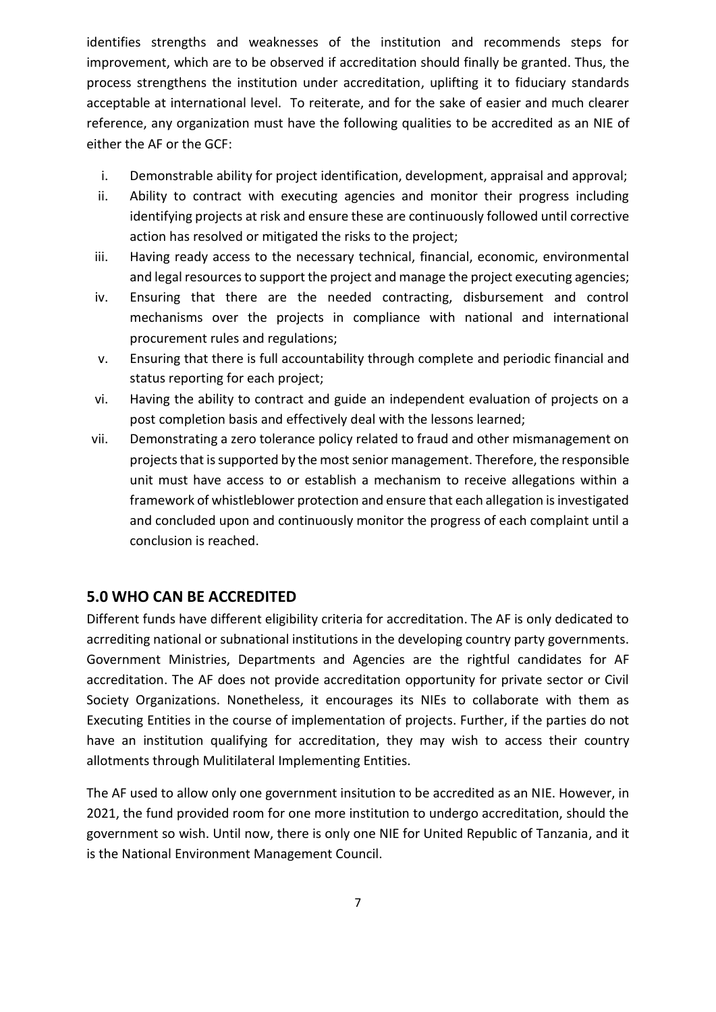identifies strengths and weaknesses of the institution and recommends steps for improvement, which are to be observed if accreditation should finally be granted. Thus, the process strengthens the institution under accreditation, uplifting it to fiduciary standards acceptable at international level. To reiterate, and for the sake of easier and much clearer reference, any organization must have the following qualities to be accredited as an NIE of either the AF or the GCF:

- i. Demonstrable ability for project identification, development, appraisal and approval;
- ii. Ability to contract with executing agencies and monitor their progress including identifying projects at risk and ensure these are continuously followed until corrective action has resolved or mitigated the risks to the project;
- iii. Having ready access to the necessary technical, financial, economic, environmental and legal resources to support the project and manage the project executing agencies;
- iv. Ensuring that there are the needed contracting, disbursement and control mechanisms over the projects in compliance with national and international procurement rules and regulations;
- v. Ensuring that there is full accountability through complete and periodic financial and status reporting for each project;
- vi. Having the ability to contract and guide an independent evaluation of projects on a post completion basis and effectively deal with the lessons learned;
- vii. Demonstrating a zero tolerance policy related to fraud and other mismanagement on projects that is supported by the most senior management. Therefore, the responsible unit must have access to or establish a mechanism to receive allegations within a framework of whistleblower protection and ensure that each allegation is investigated and concluded upon and continuously monitor the progress of each complaint until a conclusion is reached.

### <span id="page-7-0"></span>**5.0 WHO CAN BE ACCREDITED**

Different funds have different eligibility criteria for accreditation. The AF is only dedicated to acrrediting national or subnational institutions in the developing country party governments. Government Ministries, Departments and Agencies are the rightful candidates for AF accreditation. The AF does not provide accreditation opportunity for private sector or Civil Society Organizations. Nonetheless, it encourages its NIEs to collaborate with them as Executing Entities in the course of implementation of projects. Further, if the parties do not have an institution qualifying for accreditation, they may wish to access their country allotments through Mulitilateral Implementing Entities.

The AF used to allow only one government insitution to be accredited as an NIE. However, in 2021, the fund provided room for one more institution to undergo accreditation, should the government so wish. Until now, there is only one NIE for United Republic of Tanzania, and it is the National Environment Management Council.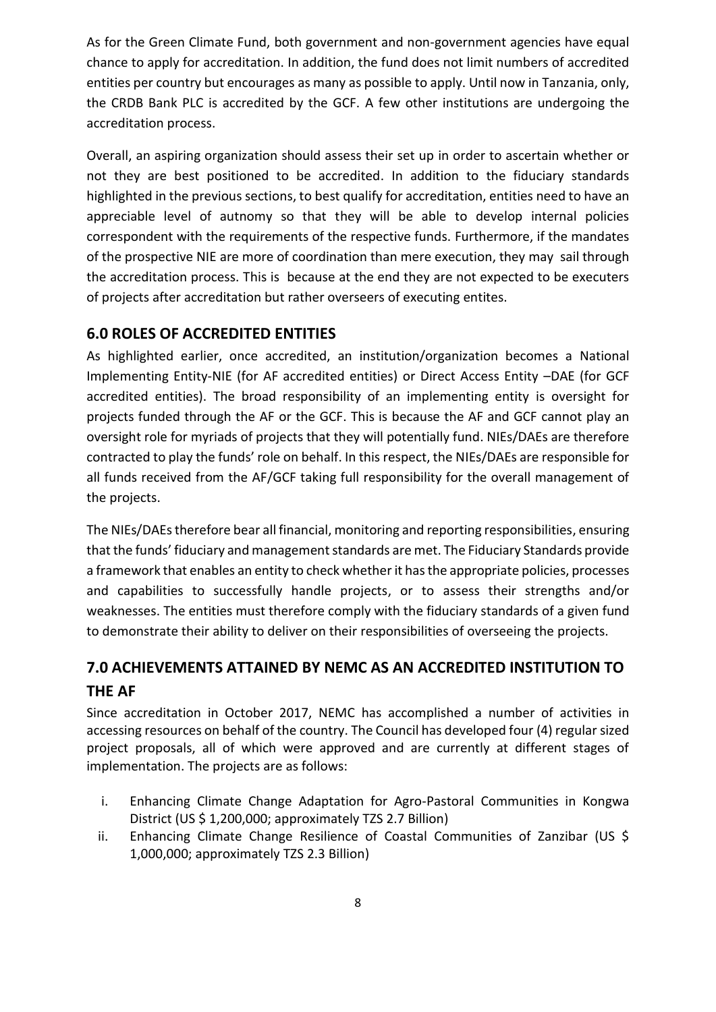As for the Green Climate Fund, both government and non-government agencies have equal chance to apply for accreditation. In addition, the fund does not limit numbers of accredited entities per country but encourages as many as possible to apply. Until now in Tanzania, only, the CRDB Bank PLC is accredited by the GCF. A few other institutions are undergoing the accreditation process.

Overall, an aspiring organization should assess their set up in order to ascertain whether or not they are best positioned to be accredited. In addition to the fiduciary standards highlighted in the previous sections, to best qualify for accreditation, entities need to have an appreciable level of autnomy so that they will be able to develop internal policies correspondent with the requirements of the respective funds. Furthermore, if the mandates of the prospective NIE are more of coordination than mere execution, they may sail through the accreditation process. This is because at the end they are not expected to be executers of projects after accreditation but rather overseers of executing entites.

### <span id="page-8-0"></span>**6.0 ROLES OF ACCREDITED ENTITIES**

As highlighted earlier, once accredited, an institution/organization becomes a National Implementing Entity-NIE (for AF accredited entities) or Direct Access Entity –DAE (for GCF accredited entities). The broad responsibility of an implementing entity is oversight for projects funded through the AF or the GCF. This is because the AF and GCF cannot play an oversight role for myriads of projects that they will potentially fund. NIEs/DAEs are therefore contracted to play the funds' role on behalf. In this respect, the NIEs/DAEs are responsible for all funds received from the AF/GCF taking full responsibility for the overall management of the projects.

The NIEs/DAEs therefore bear all financial, monitoring and reporting responsibilities, ensuring that the funds' fiduciary and management standards are met. The Fiduciary Standards provide a framework that enables an entity to check whether it has the appropriate policies, processes and capabilities to successfully handle projects, or to assess their strengths and/or weaknesses. The entities must therefore comply with the fiduciary standards of a given fund to demonstrate their ability to deliver on their responsibilities of overseeing the projects.

# <span id="page-8-1"></span>**7.0 ACHIEVEMENTS ATTAINED BY NEMC AS AN ACCREDITED INSTITUTION TO THE AF**

Since accreditation in October 2017, NEMC has accomplished a number of activities in accessing resources on behalf of the country. The Council has developed four (4) regular sized project proposals, all of which were approved and are currently at different stages of implementation. The projects are as follows:

- i. Enhancing Climate Change Adaptation for Agro-Pastoral Communities in Kongwa District (US \$ 1,200,000; approximately TZS 2.7 Billion)
- ii. Enhancing Climate Change Resilience of Coastal Communities of Zanzibar (US \$ 1,000,000; approximately TZS 2.3 Billion)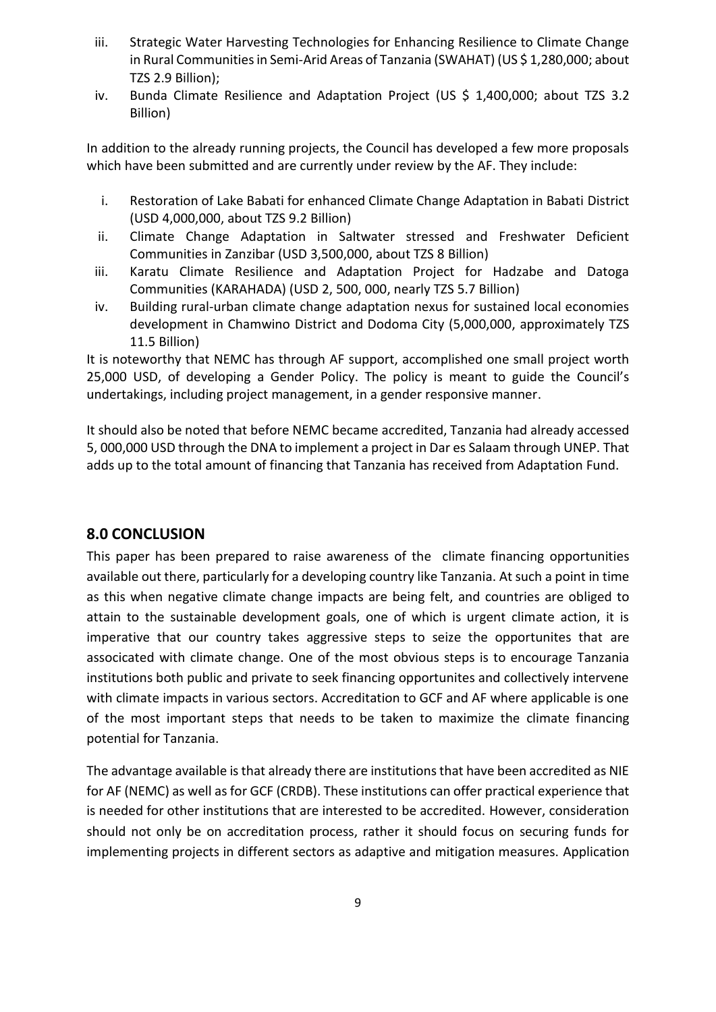- iii. Strategic Water Harvesting Technologies for Enhancing Resilience to Climate Change in Rural Communities in Semi-Arid Areas of Tanzania (SWAHAT) (US \$ 1,280,000; about TZS 2.9 Billion);
- iv. Bunda Climate Resilience and Adaptation Project (US \$ 1,400,000; about TZS 3.2 Billion)

In addition to the already running projects, the Council has developed a few more proposals which have been submitted and are currently under review by the AF. They include:

- i. Restoration of Lake Babati for enhanced Climate Change Adaptation in Babati District (USD 4,000,000, about TZS 9.2 Billion)
- ii. Climate Change Adaptation in Saltwater stressed and Freshwater Deficient Communities in Zanzibar (USD 3,500,000, about TZS 8 Billion)
- iii. Karatu Climate Resilience and Adaptation Project for Hadzabe and Datoga Communities (KARAHADA) (USD 2, 500, 000, nearly TZS 5.7 Billion)
- iv. Building rural-urban climate change adaptation nexus for sustained local economies development in Chamwino District and Dodoma City (5,000,000, approximately TZS 11.5 Billion)

It is noteworthy that NEMC has through AF support, accomplished one small project worth 25,000 USD, of developing a Gender Policy. The policy is meant to guide the Council's undertakings, including project management, in a gender responsive manner.

It should also be noted that before NEMC became accredited, Tanzania had already accessed 5, 000,000 USD through the DNA to implement a project in Dar es Salaam through UNEP. That adds up to the total amount of financing that Tanzania has received from Adaptation Fund.

### <span id="page-9-0"></span>**8.0 CONCLUSION**

This paper has been prepared to raise awareness of the climate financing opportunities available out there, particularly for a developing country like Tanzania. At such a point in time as this when negative climate change impacts are being felt, and countries are obliged to attain to the sustainable development goals, one of which is urgent climate action, it is imperative that our country takes aggressive steps to seize the opportunites that are associcated with climate change. One of the most obvious steps is to encourage Tanzania institutions both public and private to seek financing opportunites and collectively intervene with climate impacts in various sectors. Accreditation to GCF and AF where applicable is one of the most important steps that needs to be taken to maximize the climate financing potential for Tanzania.

The advantage available is that already there are institutions that have been accredited as NIE for AF (NEMC) as well as for GCF (CRDB). These institutions can offer practical experience that is needed for other institutions that are interested to be accredited. However, consideration should not only be on accreditation process, rather it should focus on securing funds for implementing projects in different sectors as adaptive and mitigation measures. Application